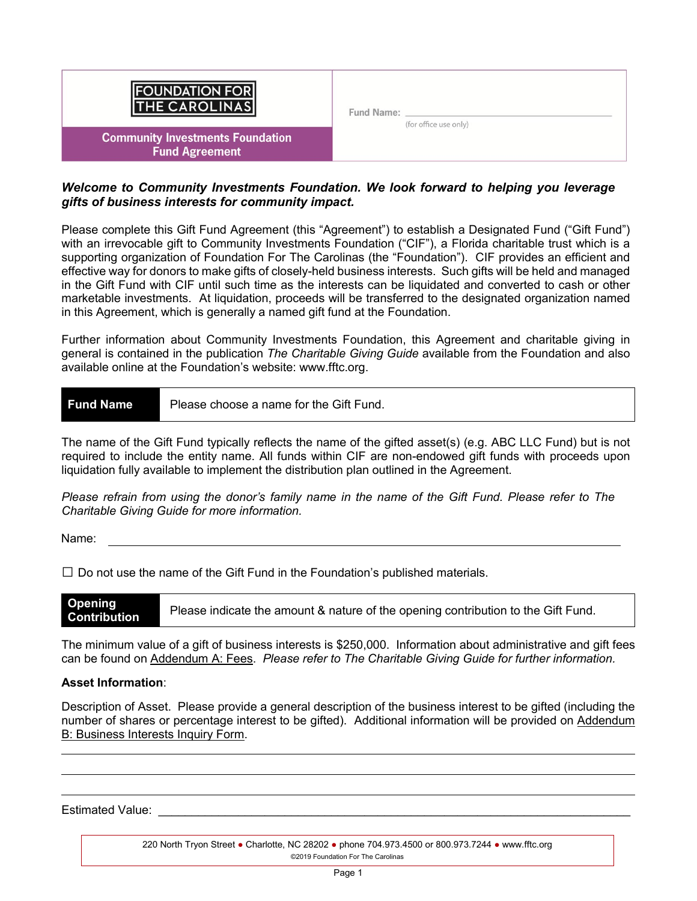| <b>FOUNDATION FOR</b><br>THE CAROLINAS                           | Fund Name: |                       |  |
|------------------------------------------------------------------|------------|-----------------------|--|
| <b>Community Investments Foundation</b><br><b>Fund Agreement</b> |            | (for office use only) |  |

# *Welcome to Community Investments Foundation. We look forward to helping you leverage gifts of business interests for community impact.*

Please complete this Gift Fund Agreement (this "Agreement") to establish a Designated Fund ("Gift Fund") with an irrevocable gift to Community Investments Foundation ("CIF"), a Florida charitable trust which is a supporting organization of Foundation For The Carolinas (the "Foundation"). CIF provides an efficient and effective way for donors to make gifts of closely-held business interests. Such gifts will be held and managed in the Gift Fund with CIF until such time as the interests can be liquidated and converted to cash or other marketable investments. At liquidation, proceeds will be transferred to the designated organization named in this Agreement, which is generally a named gift fund at the Foundation.

Further information about Community Investments Foundation, this Agreement and charitable giving in general is contained in the publication *The Charitable Giving Guide* available from the Foundation and also available online at the Foundation's website: www.fftc.org.

**Fund Name** Please choose a name for the Gift Fund.

The name of the Gift Fund typically reflects the name of the gifted asset(s) (e.g. ABC LLC Fund) but is not required to include the entity name. All funds within CIF are non-endowed gift funds with proceeds upon liquidation fully available to implement the distribution plan outlined in the Agreement.

*Please refrain from using the donor's family name in the name of the Gift Fund. Please refer to The Charitable Giving Guide for more information.* 

Name:

 $\square$  Do not use the name of the Gift Fund in the Foundation's published materials.

**Opening Contribution** Please indicate the amount & nature of the opening contribution to the Gift Fund.

The minimum value of a gift of business interests is \$250,000. Information about administrative and gift fees can be found on Addendum A: Fees. *Please refer to The Charitable Giving Guide for further information.* 

## **Asset Information**:

Description of Asset. Please provide a general description of the business interest to be gifted (including the number of shares or percentage interest to be gifted). Additional information will be provided on Addendum B: Business Interests Inquiry Form.

Estimated Value: **Extinction**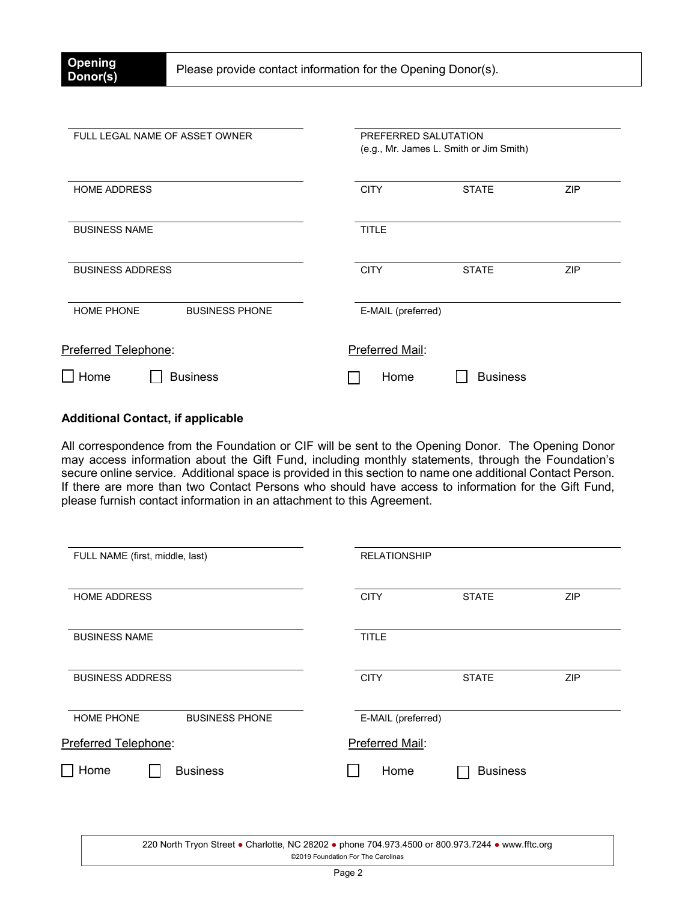| FULL LEGAL NAME OF ASSET OWNER             | PREFERRED SALUTATION<br>(e.g., Mr. James L. Smith or Jim Smith) |  |
|--------------------------------------------|-----------------------------------------------------------------|--|
| <b>HOME ADDRESS</b>                        | <b>CITY</b><br><b>STATE</b><br><b>ZIP</b>                       |  |
| <b>BUSINESS NAME</b>                       | <b>TITLE</b>                                                    |  |
| <b>BUSINESS ADDRESS</b>                    | <b>CITY</b><br><b>STATE</b><br><b>ZIP</b>                       |  |
| <b>HOME PHONE</b><br><b>BUSINESS PHONE</b> | E-MAIL (preferred)                                              |  |
| Preferred Telephone:                       | Preferred Mail:                                                 |  |
| $\Box$ Home<br><b>Business</b>             | <b>Business</b><br>Home                                         |  |

# **Additional Contact, if applicable**

All correspondence from the Foundation or CIF will be sent to the Opening Donor. The Opening Donor may access information about the Gift Fund, including monthly statements, through the Foundation's secure online service. Additional space is provided in this section to name one additional Contact Person. If there are more than two Contact Persons who should have access to information for the Gift Fund, please furnish contact information in an attachment to this Agreement.

| FULL NAME (first, middle, last)            | <b>RELATIONSHIP</b>                       |
|--------------------------------------------|-------------------------------------------|
| <b>HOME ADDRESS</b>                        | <b>CITY</b><br><b>ZIP</b><br><b>STATE</b> |
| <b>BUSINESS NAME</b>                       | <b>TITLE</b>                              |
| <b>BUSINESS ADDRESS</b>                    | <b>CITY</b><br><b>STATE</b><br><b>ZIP</b> |
| <b>HOME PHONE</b><br><b>BUSINESS PHONE</b> | E-MAIL (preferred)                        |
| Preferred Telephone:                       | Preferred Mail:                           |
| Home<br><b>Business</b>                    | Home<br><b>Business</b>                   |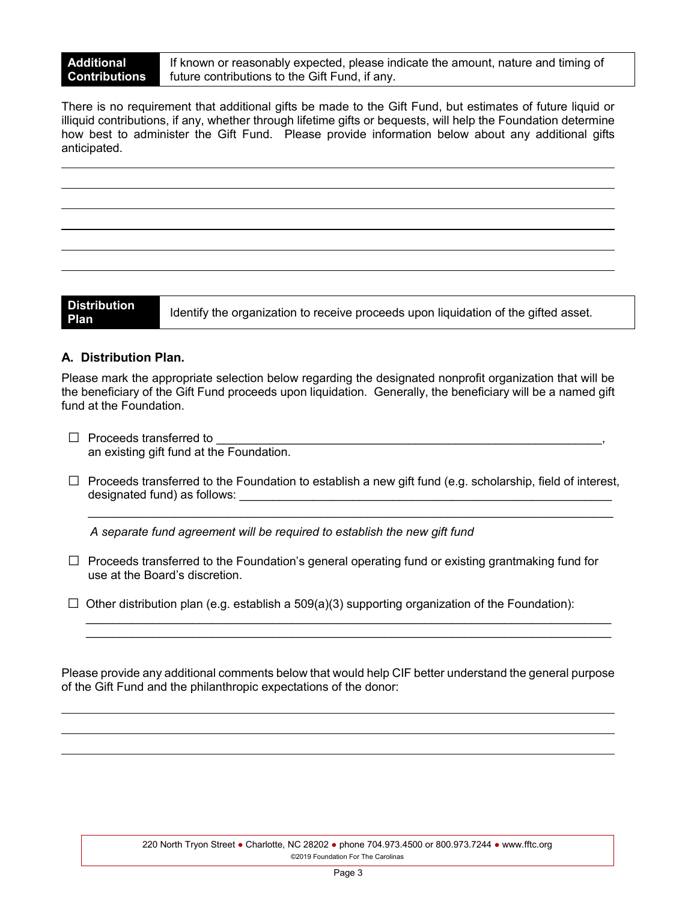If known or reasonably expected, please indicate the amount, nature and timing of future contributions to the Gift Fund, if any.

There is no requirement that additional gifts be made to the Gift Fund, but estimates of future liquid or illiquid contributions, if any, whether through lifetime gifts or bequests, will help the Foundation determine how best to administer the Gift Fund. Please provide information below about any additional gifts anticipated.

**Distribution** 

**Plan** Identify the organization to receive proceeds upon liquidation of the gifted asset.

# **A. Distribution Plan.**

Please mark the appropriate selection below regarding the designated nonprofit organization that will be the beneficiary of the Gift Fund proceeds upon liquidation. Generally, the beneficiary will be a named gift fund at the Foundation.

- $\Box$  Proceeds transferred to an existing gift fund at the Foundation.
- $\Box$  Proceeds transferred to the Foundation to establish a new gift fund (e.g. scholarship, field of interest, designated fund) as follows: **with a state of the state of the state of the state of the state of the state of the state of the state of the state of the state of the state of the state of the state of the state of the sta**

\_\_\_\_\_\_\_\_\_\_\_\_\_\_\_\_\_\_\_\_\_\_\_\_\_\_\_\_\_\_\_\_\_\_\_\_\_\_\_\_\_\_\_\_\_\_\_\_\_\_\_\_\_\_\_\_\_\_\_\_\_\_\_\_\_\_\_\_\_\_\_\_\_\_\_\_\_\_\_

*A separate fund agreement will be required to establish the new gift fund*

- $\Box$  Proceeds transferred to the Foundation's general operating fund or existing grantmaking fund for use at the Board's discretion.
- $\Box$  Other distribution plan (e.g. establish a 509(a)(3) supporting organization of the Foundation):

Please provide any additional comments below that would help CIF better understand the general purpose of the Gift Fund and the philanthropic expectations of the donor:

 $\_$  ,  $\_$  ,  $\_$  ,  $\_$  ,  $\_$  ,  $\_$  ,  $\_$  ,  $\_$  ,  $\_$  ,  $\_$  ,  $\_$  ,  $\_$  ,  $\_$  ,  $\_$  ,  $\_$  ,  $\_$  ,  $\_$  ,  $\_$  ,  $\_$  ,  $\_$  ,  $\_$  ,  $\_$  ,  $\_$  ,  $\_$  ,  $\_$  ,  $\_$  ,  $\_$  ,  $\_$  ,  $\_$  ,  $\_$  ,  $\_$  ,  $\_$  ,  $\_$  ,  $\_$  ,  $\_$  ,  $\_$  ,  $\_$  ,  $\_$  ,  $\_$  ,  $\_$  ,  $\_$  ,  $\_$  ,  $\_$  ,  $\_$  ,  $\_$  ,  $\_$  ,  $\_$  ,  $\_$  ,  $\_$  ,  $\_$  ,  $\_$  ,  $\_$  ,  $\_$  ,  $\_$  ,  $\_$  ,  $\_$  ,  $\_$  ,  $\_$  ,  $\_$  ,  $\_$  ,  $\_$  ,  $\_$  ,  $\_$  ,  $\_$  ,  $\_$  ,  $\_$  ,  $\_$  ,  $\_$  ,  $\_$  ,  $\_$  ,  $\_$  ,  $\_$  ,  $\_$  ,  $\_$  ,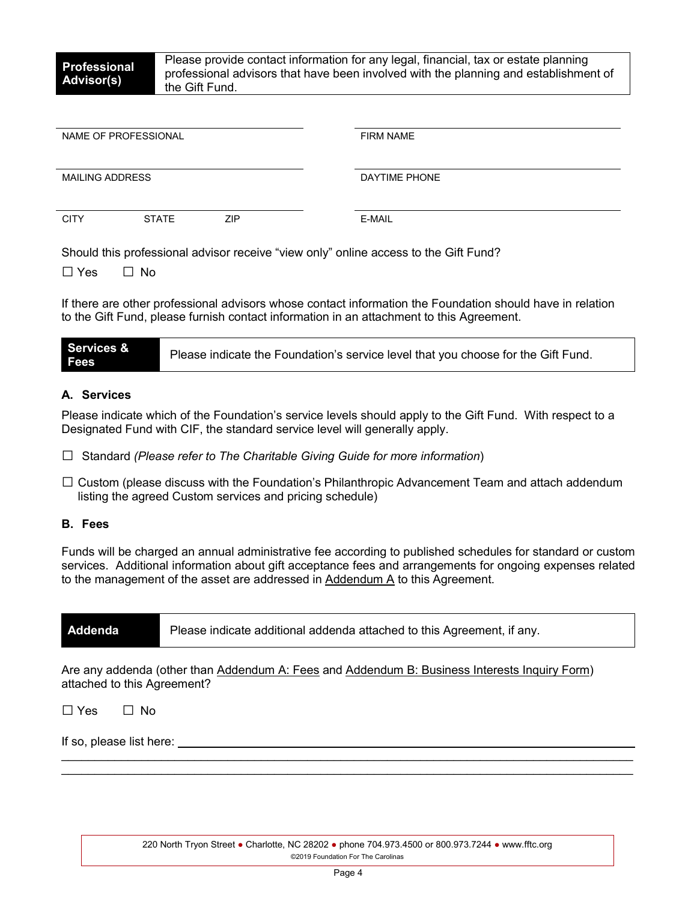| NAME OF PROFESSIONAL   |              |            | <b>FIRM NAME</b> |
|------------------------|--------------|------------|------------------|
| <b>MAILING ADDRESS</b> |              |            | DAYTIME PHONE    |
| <b>CITY</b>            | <b>STATE</b> | <b>ZIP</b> | E-MAIL           |

Should this professional advisor receive "view only" online access to the Gift Fund?

 $\Box$  Yes  $\Box$  No

If there are other professional advisors whose contact information the Foundation should have in relation to the Gift Fund, please furnish contact information in an attachment to this Agreement.

| <b>Services &amp;</b><br><b>Fees</b> | Please indicate the Foundation's service level that you choose for the Gift Fund. |
|--------------------------------------|-----------------------------------------------------------------------------------|
|--------------------------------------|-----------------------------------------------------------------------------------|

## **A. Services**

Please indicate which of the Foundation's service levels should apply to the Gift Fund. With respect to a Designated Fund with CIF, the standard service level will generally apply.

- □ Standard *(Please refer to The Charitable Giving Guide for more information*)
- $\square$  Custom (please discuss with the Foundation's Philanthropic Advancement Team and attach addendum listing the agreed Custom services and pricing schedule)

## **B. Fees**

Funds will be charged an annual administrative fee according to published schedules for standard or custom services. Additional information about gift acceptance fees and arrangements for ongoing expenses related to the management of the asset are addressed in Addendum A to this Agreement.

| Addenda | Please indicate additional addenda attached to this Agreement, if any. |
|---------|------------------------------------------------------------------------|
|---------|------------------------------------------------------------------------|

Are any addenda (other than Addendum A: Fees and Addendum B: Business Interests Inquiry Form) attached to this Agreement?

 $\Box$  Yes  $\Box$  No

If so, please list here:

 $\mathcal{L}_\text{max} = \frac{1}{2} \sum_{i=1}^n \mathcal{L}_\text{max} = \frac{1}{2} \sum_{i=1}^n \mathcal{L}_\text{max} = \frac{1}{2} \sum_{i=1}^n \mathcal{L}_\text{max} = \frac{1}{2} \sum_{i=1}^n \mathcal{L}_\text{max} = \frac{1}{2} \sum_{i=1}^n \mathcal{L}_\text{max} = \frac{1}{2} \sum_{i=1}^n \mathcal{L}_\text{max} = \frac{1}{2} \sum_{i=1}^n \mathcal{L}_\text{max} = \frac{1}{2} \sum_{i=$  $\mathcal{L}_\mathcal{L} = \{ \mathcal{L}_\mathcal{L} = \{ \mathcal{L}_\mathcal{L} = \{ \mathcal{L}_\mathcal{L} = \{ \mathcal{L}_\mathcal{L} = \{ \mathcal{L}_\mathcal{L} = \{ \mathcal{L}_\mathcal{L} = \{ \mathcal{L}_\mathcal{L} = \{ \mathcal{L}_\mathcal{L} = \{ \mathcal{L}_\mathcal{L} = \{ \mathcal{L}_\mathcal{L} = \{ \mathcal{L}_\mathcal{L} = \{ \mathcal{L}_\mathcal{L} = \{ \mathcal{L}_\mathcal{L} = \{ \mathcal{L}_\mathcal{$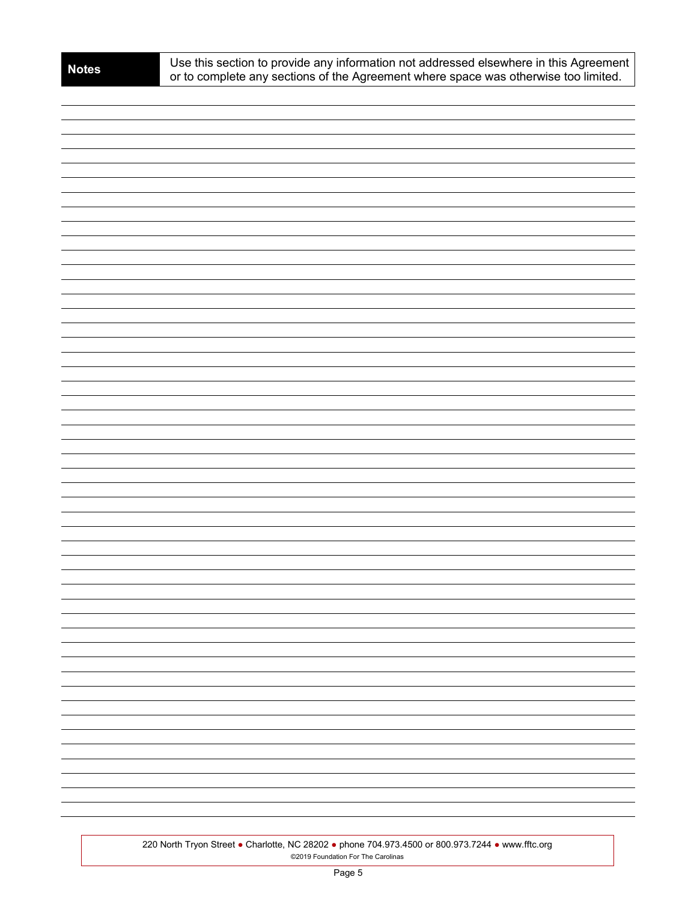| -  |
|----|
|    |
|    |
|    |
|    |
|    |
| ÷, |
|    |
|    |
|    |
|    |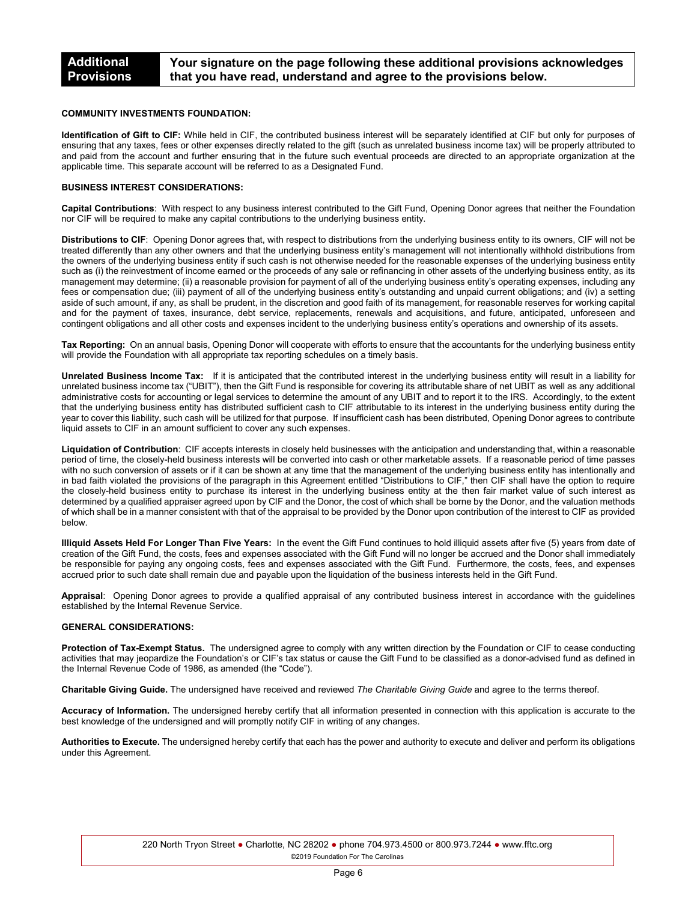#### **COMMUNITY INVESTMENTS FOUNDATION:**

**Identification of Gift to CIF:** While held in CIF, the contributed business interest will be separately identified at CIF but only for purposes of ensuring that any taxes, fees or other expenses directly related to the gift (such as unrelated business income tax) will be properly attributed to and paid from the account and further ensuring that in the future such eventual proceeds are directed to an appropriate organization at the applicable time. This separate account will be referred to as a Designated Fund.

### **BUSINESS INTEREST CONSIDERATIONS:**

**Capital Contributions**: With respect to any business interest contributed to the Gift Fund, Opening Donor agrees that neither the Foundation nor CIF will be required to make any capital contributions to the underlying business entity.

**Distributions to CIF**: Opening Donor agrees that, with respect to distributions from the underlying business entity to its owners, CIF will not be treated differently than any other owners and that the underlying business entity's management will not intentionally withhold distributions from the owners of the underlying business entity if such cash is not otherwise needed for the reasonable expenses of the underlying business entity such as (i) the reinvestment of income earned or the proceeds of any sale or refinancing in other assets of the underlying business entity, as its management may determine; (ii) a reasonable provision for payment of all of the underlying business entity's operating expenses, including any fees or compensation due; (iii) payment of all of the underlying business entity's outstanding and unpaid current obligations; and (iv) a setting aside of such amount, if any, as shall be prudent, in the discretion and good faith of its management, for reasonable reserves for working capital and for the payment of taxes, insurance, debt service, replacements, renewals and acquisitions, and future, anticipated, unforeseen and contingent obligations and all other costs and expenses incident to the underlying business entity's operations and ownership of its assets.

**Tax Reporting:** On an annual basis, Opening Donor will cooperate with efforts to ensure that the accountants for the underlying business entity will provide the Foundation with all appropriate tax reporting schedules on a timely basis.

**Unrelated Business Income Tax:** If it is anticipated that the contributed interest in the underlying business entity will result in a liability for unrelated business income tax ("UBIT"), then the Gift Fund is responsible for covering its attributable share of net UBIT as well as any additional administrative costs for accounting or legal services to determine the amount of any UBIT and to report it to the IRS. Accordingly, to the extent that the underlying business entity has distributed sufficient cash to CIF attributable to its interest in the underlying business entity during the year to cover this liability, such cash will be utilized for that purpose. If insufficient cash has been distributed, Opening Donor agrees to contribute liquid assets to CIF in an amount sufficient to cover any such expenses.

**Liquidation of Contribution**: CIF accepts interests in closely held businesses with the anticipation and understanding that, within a reasonable period of time, the closely-held business interests will be converted into cash or other marketable assets. If a reasonable period of time passes with no such conversion of assets or if it can be shown at any time that the management of the underlying business entity has intentionally and in bad faith violated the provisions of the paragraph in this Agreement entitled "Distributions to CIF," then CIF shall have the option to require the closely-held business entity to purchase its interest in the underlying business entity at the then fair market value of such interest as determined by a qualified appraiser agreed upon by CIF and the Donor, the cost of which shall be borne by the Donor, and the valuation methods of which shall be in a manner consistent with that of the appraisal to be provided by the Donor upon contribution of the interest to CIF as provided below.

**Illiquid Assets Held For Longer Than Five Years:** In the event the Gift Fund continues to hold illiquid assets after five (5) years from date of creation of the Gift Fund, the costs, fees and expenses associated with the Gift Fund will no longer be accrued and the Donor shall immediately be responsible for paying any ongoing costs, fees and expenses associated with the Gift Fund. Furthermore, the costs, fees, and expenses accrued prior to such date shall remain due and payable upon the liquidation of the business interests held in the Gift Fund.

**Appraisal**: Opening Donor agrees to provide a qualified appraisal of any contributed business interest in accordance with the guidelines established by the Internal Revenue Service.

#### **GENERAL CONSIDERATIONS:**

**Protection of Tax-Exempt Status.** The undersigned agree to comply with any written direction by the Foundation or CIF to cease conducting activities that may jeopardize the Foundation's or CIF's tax status or cause the Gift Fund to be classified as a donor-advised fund as defined in the Internal Revenue Code of 1986, as amended (the "Code").

**Charitable Giving Guide.** The undersigned have received and reviewed *The Charitable Giving Guide* and agree to the terms thereof.

**Accuracy of Information.** The undersigned hereby certify that all information presented in connection with this application is accurate to the best knowledge of the undersigned and will promptly notify CIF in writing of any changes.

**Authorities to Execute.** The undersigned hereby certify that each has the power and authority to execute and deliver and perform its obligations under this Agreement.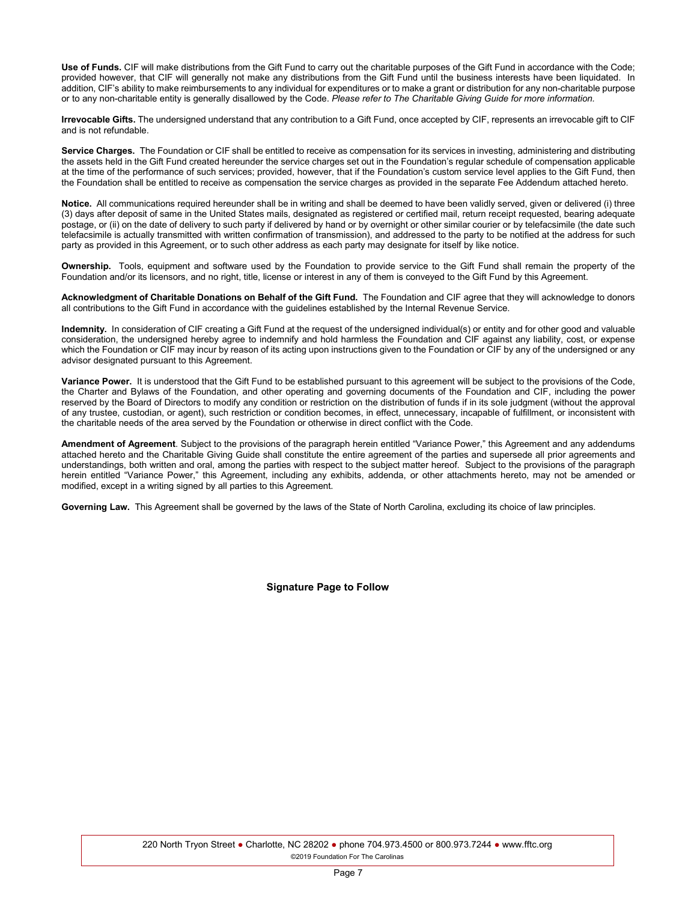**Use of Funds.** CIF will make distributions from the Gift Fund to carry out the charitable purposes of the Gift Fund in accordance with the Code; provided however, that CIF will generally not make any distributions from the Gift Fund until the business interests have been liquidated. In addition, CIF's ability to make reimbursements to any individual for expenditures or to make a grant or distribution for any non-charitable purpose or to any non-charitable entity is generally disallowed by the Code. *Please refer to The Charitable Giving Guide for more information.*

**Irrevocable Gifts.** The undersigned understand that any contribution to a Gift Fund, once accepted by CIF, represents an irrevocable gift to CIF and is not refundable.

**Service Charges.** The Foundation or CIF shall be entitled to receive as compensation for its services in investing, administering and distributing the assets held in the Gift Fund created hereunder the service charges set out in the Foundation's regular schedule of compensation applicable at the time of the performance of such services; provided, however, that if the Foundation's custom service level applies to the Gift Fund, then the Foundation shall be entitled to receive as compensation the service charges as provided in the separate Fee Addendum attached hereto.

**Notice.** All communications required hereunder shall be in writing and shall be deemed to have been validly served, given or delivered (i) three (3) days after deposit of same in the United States mails, designated as registered or certified mail, return receipt requested, bearing adequate postage, or (ii) on the date of delivery to such party if delivered by hand or by overnight or other similar courier or by telefacsimile (the date such telefacsimile is actually transmitted with written confirmation of transmission), and addressed to the party to be notified at the address for such party as provided in this Agreement, or to such other address as each party may designate for itself by like notice.

**Ownership.** Tools, equipment and software used by the Foundation to provide service to the Gift Fund shall remain the property of the Foundation and/or its licensors, and no right, title, license or interest in any of them is conveyed to the Gift Fund by this Agreement.

**Acknowledgment of Charitable Donations on Behalf of the Gift Fund.** The Foundation and CIF agree that they will acknowledge to donors all contributions to the Gift Fund in accordance with the guidelines established by the Internal Revenue Service.

**Indemnity.** In consideration of CIF creating a Gift Fund at the request of the undersigned individual(s) or entity and for other good and valuable consideration, the undersigned hereby agree to indemnify and hold harmless the Foundation and CIF against any liability, cost, or expense which the Foundation or CIF may incur by reason of its acting upon instructions given to the Foundation or CIF by any of the undersigned or any advisor designated pursuant to this Agreement.

Variance Power. It is understood that the Gift Fund to be established pursuant to this agreement will be subject to the provisions of the Code, the Charter and Bylaws of the Foundation, and other operating and governing documents of the Foundation and CIF, including the power reserved by the Board of Directors to modify any condition or restriction on the distribution of funds if in its sole judgment (without the approval of any trustee, custodian, or agent), such restriction or condition becomes, in effect, unnecessary, incapable of fulfillment, or inconsistent with the charitable needs of the area served by the Foundation or otherwise in direct conflict with the Code.

**Amendment of Agreement**. Subject to the provisions of the paragraph herein entitled "Variance Power," this Agreement and any addendums attached hereto and the Charitable Giving Guide shall constitute the entire agreement of the parties and supersede all prior agreements and understandings, both written and oral, among the parties with respect to the subject matter hereof. Subject to the provisions of the paragraph herein entitled "Variance Power," this Agreement, including any exhibits, addenda, or other attachments hereto, may not be amended or modified, except in a writing signed by all parties to this Agreement.

**Governing Law.** This Agreement shall be governed by the laws of the State of North Carolina, excluding its choice of law principles.

**Signature Page to Follow**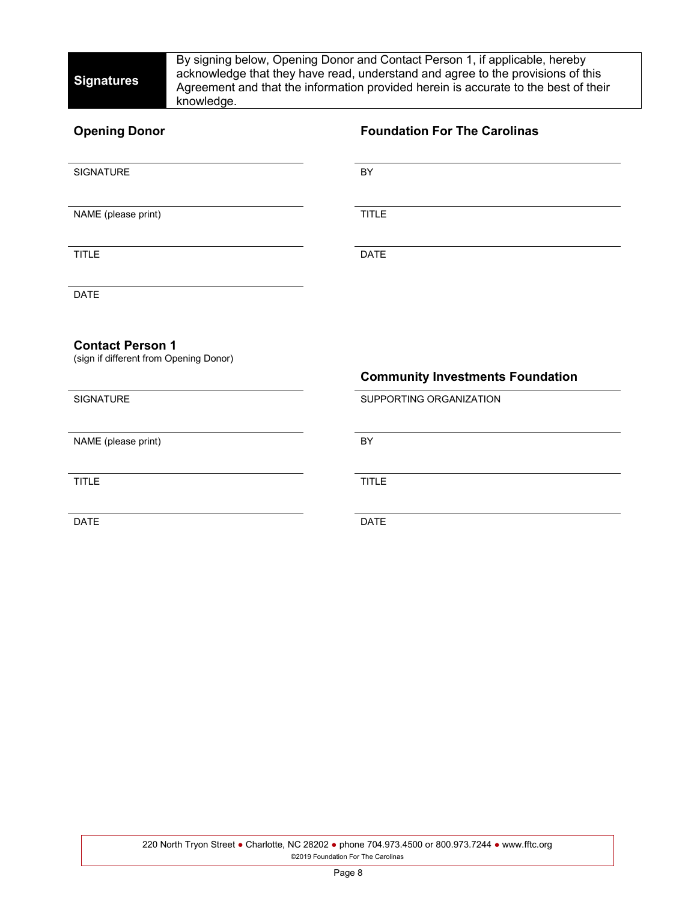By signing below, Opening Donor and Contact Person 1, if applicable, hereby acknowledge that they have read, understand and agree to the provisions of this Agreement and that the information provided herein is accurate to the best of their knowledge.

| <b>Opening Donor</b>                                              | <b>Foundation For The Carolinas</b>     |
|-------------------------------------------------------------------|-----------------------------------------|
| <b>SIGNATURE</b>                                                  | BY                                      |
| NAME (please print)                                               | <b>TITLE</b>                            |
| <b>TITLE</b>                                                      | <b>DATE</b>                             |
| <b>DATE</b>                                                       |                                         |
| <b>Contact Person 1</b><br>(sign if different from Opening Donor) | <b>Community Investments Foundation</b> |
| <b>SIGNATURE</b>                                                  | SUPPORTING ORGANIZATION                 |
| NAME (please print)                                               | BY                                      |
| <b>TITLE</b>                                                      | <b>TITLE</b>                            |
| <b>DATE</b>                                                       |                                         |